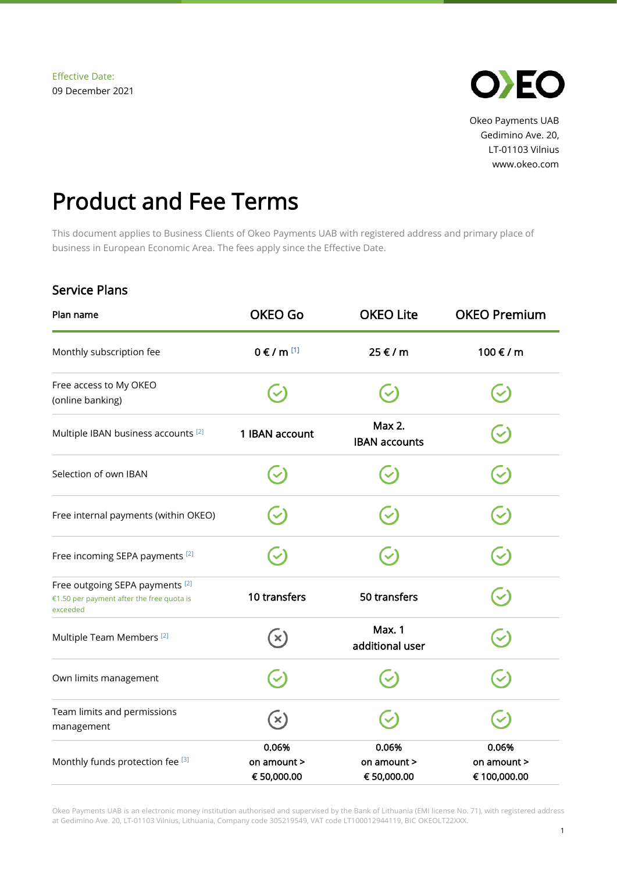

Okeo Payments UAB Gedimino Ave. 20, LT-01103 Vilnius www.okeo.com

## Product and Fee Terms

This document applies to Business Clients of Okeo Payments UAB with registered address and primary place of business in European Economic Area. The fees apply since the Effective Date.

## Service Plans

| Plan name                                                                                | <b>OKEO Go</b>                      | <b>OKEO Lite</b>                    | <b>OKEO Premium</b>                  |
|------------------------------------------------------------------------------------------|-------------------------------------|-------------------------------------|--------------------------------------|
| Monthly subscription fee                                                                 | $0 \in I$ m [1]                     | 25 € / m                            | 100 € / m                            |
| Free access to My OKEO<br>(online banking)                                               |                                     |                                     |                                      |
| Multiple IBAN business accounts <sup>[2]</sup>                                           | 1 IBAN account                      | Max 2.<br><b>IBAN accounts</b>      |                                      |
| Selection of own IBAN                                                                    |                                     |                                     | $\blacktriangledown$                 |
| Free internal payments (within OKEO)                                                     |                                     |                                     |                                      |
| Free incoming SEPA payments [2]                                                          |                                     |                                     |                                      |
| Free outgoing SEPA payments [2]<br>€1.50 per payment after the free quota is<br>exceeded | 10 transfers                        | 50 transfers                        | $\blacktriangledown$                 |
| Multiple Team Members <sup>[2]</sup>                                                     | $\mathbf{x})$                       | <b>Max. 1</b><br>additional user    |                                      |
| Own limits management                                                                    |                                     |                                     |                                      |
| Team limits and permissions<br>management                                                | $(\mathsf{x})$                      |                                     |                                      |
| Monthly funds protection fee [3]                                                         | 0.06%<br>on amount ><br>€ 50,000.00 | 0.06%<br>on amount ><br>€ 50,000.00 | 0.06%<br>on amount ><br>€ 100,000.00 |

Okeo Payments UAB is an electronic money institution authorised and supervised by the Bank of Lithuania (EMI license No. 71), with registered address at Gedimino Ave. 20, LT-01103 Vilnius, Lithuania, Company code 305219549, VAT code LT100012944119, BIC OKEOLT22XXX.